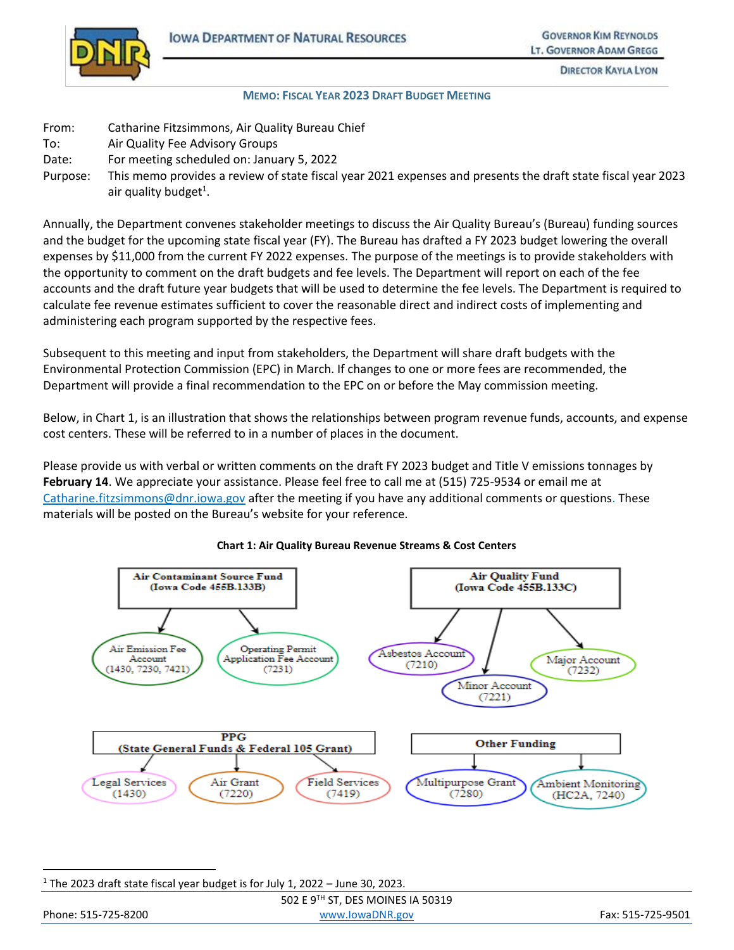

**DIRECTOR KAYLA LYON** 

#### **MEMO: FISCAL YEAR 2023 DRAFT BUDGET MEETING**

- From: Catharine Fitzsimmons, Air Quality Bureau Chief
- To: Air Quality Fee Advisory Groups
- Date: For meeting scheduled on: January 5, 2022
- Purpose: This memo provides a review of state fiscal year 2021 expenses and presents the draft state fiscal year 2023 air quality budget<sup>1</sup>.

Annually, the Department convenes stakeholder meetings to discuss the Air Quality Bureau's (Bureau) funding sources and the budget for the upcoming state fiscal year (FY). The Bureau has drafted a FY 2023 budget lowering the overall expenses by \$11,000 from the current FY 2022 expenses. The purpose of the meetings is to provide stakeholders with the opportunity to comment on the draft budgets and fee levels. The Department will report on each of the fee accounts and the draft future year budgets that will be used to determine the fee levels. The Department is required to calculate fee revenue estimates sufficient to cover the reasonable direct and indirect costs of implementing and administering each program supported by the respective fees.

Subsequent to this meeting and input from stakeholders, the Department will share draft budgets with the Environmental Protection Commission (EPC) in March. If changes to one or more fees are recommended, the Department will provide a final recommendation to the EPC on or before the May commission meeting.

Below, in Chart 1, is an illustration that shows the relationships between program revenue funds, accounts, and expense cost centers. These will be referred to in a number of places in the document.

Please provide us with verbal or written comments on the draft FY 2023 budget and Title V emissions tonnages by **February 14**. We appreciate your assistance. Please feel free to call me at (515) 725-9534 or email me at [Catharine.fitzsimmons@dnr.iowa.gov](about:blank) after the meeting if you have any additional comments or questions. These materials will be posted on the Bureau's website for your reference.



#### **Chart 1: Air Quality Bureau Revenue Streams & Cost Centers**

 $\overline{a}$ 

|                     | 502 E 9TH ST, DES MOINES IA 50319 |                   |
|---------------------|-----------------------------------|-------------------|
| Phone: 515-725-8200 | www.lowaDNR.gov                   | Fax: 515-725-9501 |

<sup>&</sup>lt;sup>1</sup> The 2023 draft state fiscal year budget is for July 1, 2022 – June 30, 2023.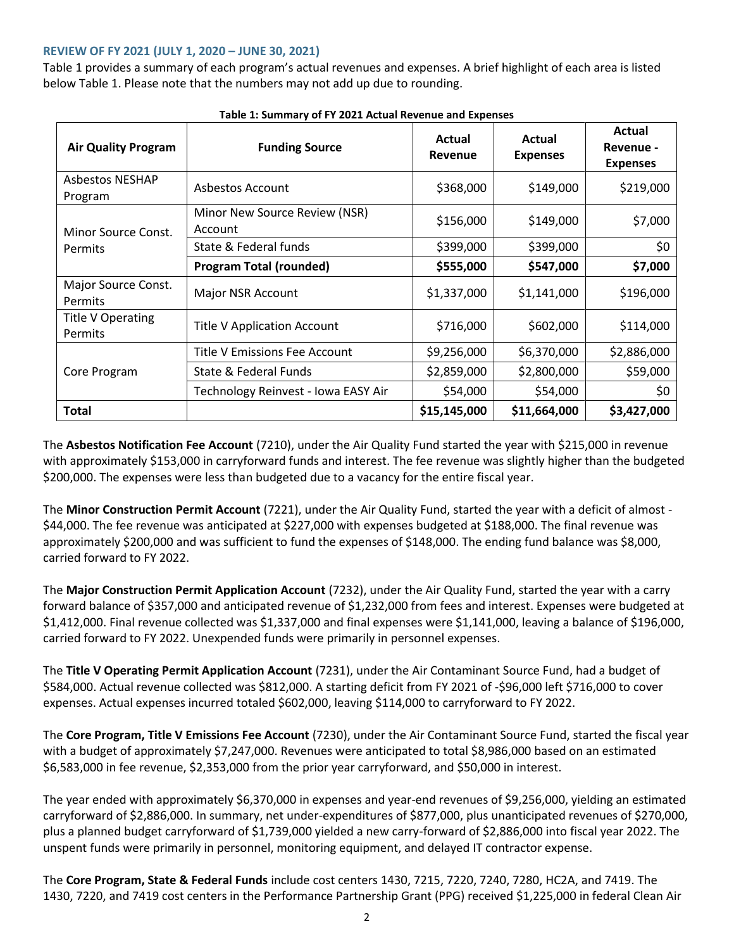### **REVIEW OF FY 2021 (JULY 1, 2020 – JUNE 30, 2021)**

Table 1 provides a summary of each program's actual revenues and expenses. A brief highlight of each area is listed below Table 1. Please note that the numbers may not add up due to rounding.

| <b>Air Quality Program</b>          | <b>Funding Source</b>                    | Actual<br>Revenue | Actual<br><b>Expenses</b> | Actual<br>Revenue -<br><b>Expenses</b> |
|-------------------------------------|------------------------------------------|-------------------|---------------------------|----------------------------------------|
| <b>Asbestos NESHAP</b><br>Program   | Asbestos Account                         | \$368,000         | \$149,000                 | \$219,000                              |
| Minor Source Const.                 | Minor New Source Review (NSR)<br>Account | \$156,000         | \$149,000                 | \$7,000                                |
| Permits                             | State & Federal funds                    | \$399,000         | \$399,000                 | \$0                                    |
|                                     | <b>Program Total (rounded)</b>           | \$555,000         | \$547,000                 | \$7,000                                |
| Major Source Const.<br>Permits      | Major NSR Account                        | \$1,337,000       | \$1,141,000               | \$196,000                              |
| <b>Title V Operating</b><br>Permits | <b>Title V Application Account</b>       | \$716,000         | \$602,000                 | \$114,000                              |
|                                     | Title V Emissions Fee Account            | \$9,256,000       | \$6,370,000               | \$2,886,000                            |
| Core Program                        | State & Federal Funds                    | \$2,859,000       | \$2,800,000               | \$59,000                               |
|                                     | Technology Reinvest - Iowa EASY Air      | \$54,000          | \$54,000                  | \$0                                    |
| Total                               |                                          | \$15,145,000      | \$11,664,000              | \$3,427,000                            |

**Table 1: Summary of FY 2021 Actual Revenue and Expenses**

The **Asbestos Notification Fee Account** (7210), under the Air Quality Fund started the year with \$215,000 in revenue with approximately \$153,000 in carryforward funds and interest. The fee revenue was slightly higher than the budgeted \$200,000. The expenses were less than budgeted due to a vacancy for the entire fiscal year.

The **Minor Construction Permit Account** (7221), under the Air Quality Fund, started the year with a deficit of almost - \$44,000. The fee revenue was anticipated at \$227,000 with expenses budgeted at \$188,000. The final revenue was approximately \$200,000 and was sufficient to fund the expenses of \$148,000. The ending fund balance was \$8,000, carried forward to FY 2022.

The **Major Construction Permit Application Account** (7232), under the Air Quality Fund, started the year with a carry forward balance of \$357,000 and anticipated revenue of \$1,232,000 from fees and interest. Expenses were budgeted at \$1,412,000. Final revenue collected was \$1,337,000 and final expenses were \$1,141,000, leaving a balance of \$196,000, carried forward to FY 2022. Unexpended funds were primarily in personnel expenses.

The **Title V Operating Permit Application Account** (7231), under the Air Contaminant Source Fund, had a budget of \$584,000. Actual revenue collected was \$812,000. A starting deficit from FY 2021 of -\$96,000 left \$716,000 to cover expenses. Actual expenses incurred totaled \$602,000, leaving \$114,000 to carryforward to FY 2022.

The **Core Program, Title V Emissions Fee Account** (7230), under the Air Contaminant Source Fund, started the fiscal year with a budget of approximately \$7,247,000. Revenues were anticipated to total \$8,986,000 based on an estimated \$6,583,000 in fee revenue, \$2,353,000 from the prior year carryforward, and \$50,000 in interest.

The year ended with approximately \$6,370,000 in expenses and year-end revenues of \$9,256,000, yielding an estimated carryforward of \$2,886,000. In summary, net under-expenditures of \$877,000, plus unanticipated revenues of \$270,000, plus a planned budget carryforward of \$1,739,000 yielded a new carry-forward of \$2,886,000 into fiscal year 2022. The unspent funds were primarily in personnel, monitoring equipment, and delayed IT contractor expense.

The **Core Program, State & Federal Funds** include cost centers 1430, 7215, 7220, 7240, 7280, HC2A, and 7419. The 1430, 7220, and 7419 cost centers in the Performance Partnership Grant (PPG) received \$1,225,000 in federal Clean Air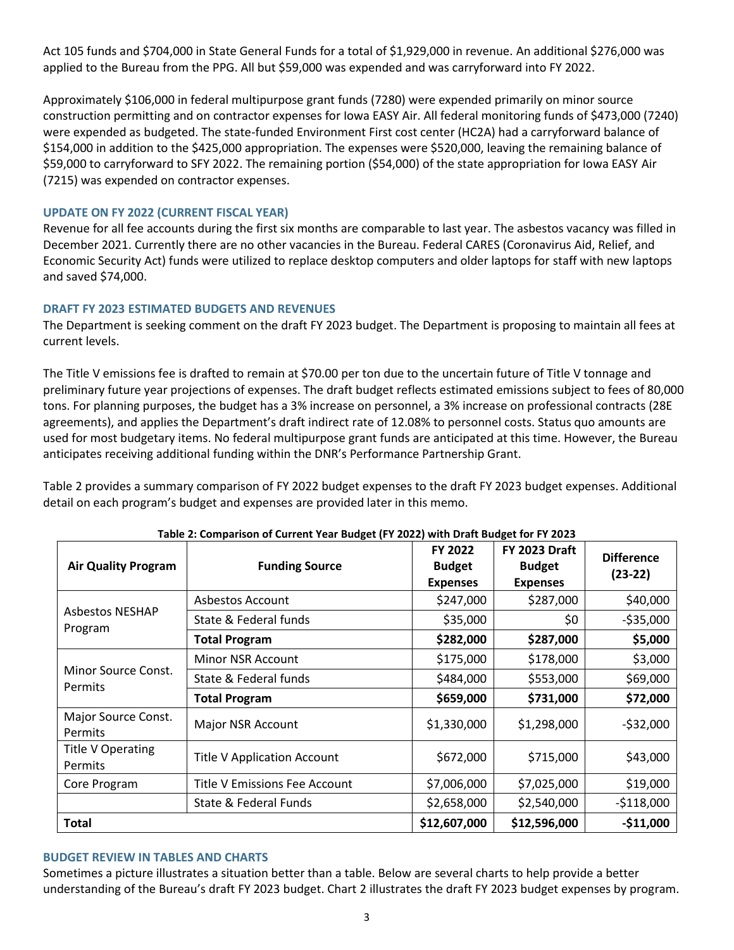Act 105 funds and \$704,000 in State General Funds for a total of \$1,929,000 in revenue. An additional \$276,000 was applied to the Bureau from the PPG. All but \$59,000 was expended and was carryforward into FY 2022.

Approximately \$106,000 in federal multipurpose grant funds (7280) were expended primarily on minor source construction permitting and on contractor expenses for Iowa EASY Air. All federal monitoring funds of \$473,000 (7240) were expended as budgeted. The state-funded Environment First cost center (HC2A) had a carryforward balance of \$154,000 in addition to the \$425,000 appropriation. The expenses were \$520,000, leaving the remaining balance of \$59,000 to carryforward to SFY 2022. The remaining portion (\$54,000) of the state appropriation for Iowa EASY Air (7215) was expended on contractor expenses.

## **UPDATE ON FY 2022 (CURRENT FISCAL YEAR)**

Revenue for all fee accounts during the first six months are comparable to last year. The asbestos vacancy was filled in December 2021. Currently there are no other vacancies in the Bureau. Federal CARES (Coronavirus Aid, Relief, and Economic Security Act) funds were utilized to replace desktop computers and older laptops for staff with new laptops and saved \$74,000.

## **DRAFT FY 2023 ESTIMATED BUDGETS AND REVENUES**

The Department is seeking comment on the draft FY 2023 budget. The Department is proposing to maintain all fees at current levels.

The Title V emissions fee is drafted to remain at \$70.00 per ton due to the uncertain future of Title V tonnage and preliminary future year projections of expenses. The draft budget reflects estimated emissions subject to fees of 80,000 tons. For planning purposes, the budget has a 3% increase on personnel, a 3% increase on professional contracts (28E agreements), and applies the Department's draft indirect rate of 12.08% to personnel costs. Status quo amounts are used for most budgetary items. No federal multipurpose grant funds are anticipated at this time. However, the Bureau anticipates receiving additional funding within the DNR's Performance Partnership Grant.

Table 2 provides a summary comparison of FY 2022 budget expenses to the draft FY 2023 budget expenses. Additional detail on each program's budget and expenses are provided later in this memo.

| <b>Air Quality Program</b>          | <b>Funding Source</b>              | FY 2022<br><b>Budget</b><br><b>Expenses</b> | <b>FY 2023 Draft</b><br><b>Budget</b><br><b>Expenses</b> | <b>Difference</b><br>$(23-22)$ |
|-------------------------------------|------------------------------------|---------------------------------------------|----------------------------------------------------------|--------------------------------|
|                                     | Asbestos Account                   | \$247,000                                   | \$287,000                                                | \$40,000                       |
| <b>Asbestos NESHAP</b><br>Program   | State & Federal funds              | \$35,000                                    | \$0                                                      | $-535,000$                     |
|                                     | <b>Total Program</b>               | \$282,000                                   | \$287,000                                                | \$5,000                        |
|                                     | <b>Minor NSR Account</b>           | \$175,000                                   | \$178,000                                                | \$3,000                        |
| Minor Source Const.<br>Permits      | State & Federal funds              | \$484,000                                   | \$553,000                                                | \$69,000                       |
|                                     | <b>Total Program</b>               | \$659,000                                   | \$731,000                                                | \$72,000                       |
| Major Source Const.<br>Permits      | Major NSR Account                  | \$1,330,000                                 | \$1,298,000                                              | $-532,000$                     |
| <b>Title V Operating</b><br>Permits | <b>Title V Application Account</b> | \$672,000                                   | \$715,000                                                | \$43,000                       |
| Core Program                        | Title V Emissions Fee Account      | \$7,006,000                                 | \$7,025,000                                              | \$19,000                       |
|                                     | State & Federal Funds              | \$2,658,000                                 | \$2,540,000                                              | $-5118,000$                    |
| <b>Total</b>                        |                                    | \$12,607,000                                | \$12,596,000                                             | $-$11,000$                     |

## **Table 2: Comparison of Current Year Budget (FY 2022) with Draft Budget for FY 2023**

### **BUDGET REVIEW IN TABLES AND CHARTS**

Sometimes a picture illustrates a situation better than a table. Below are several charts to help provide a better understanding of the Bureau's draft FY 2023 budget. Chart 2 illustrates the draft FY 2023 budget expenses by program.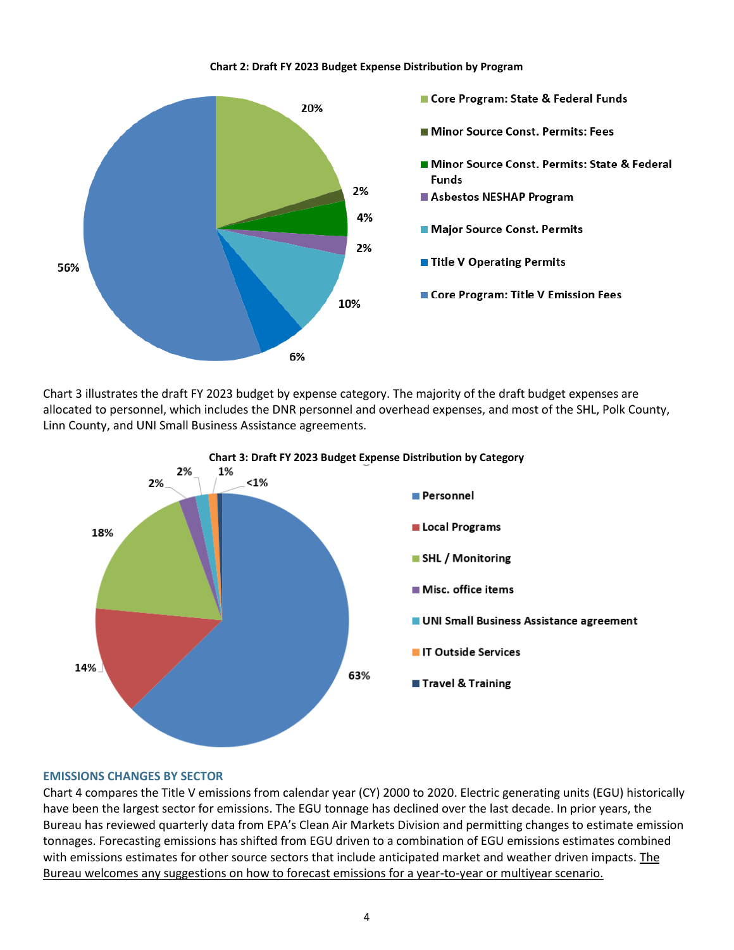#### **Chart 2: Draft FY 2023 Budget Expense Distribution by Program**



Chart 3 illustrates the draft FY 2023 budget by expense category. The majority of the draft budget expenses are allocated to personnel, which includes the DNR personnel and overhead expenses, and most of the SHL, Polk County, Linn County, and UNI Small Business Assistance agreements.



#### **EMISSIONS CHANGES BY SECTOR**

Chart 4 compares the Title V emissions from calendar year (CY) 2000 to 2020. Electric generating units (EGU) historically have been the largest sector for emissions. The EGU tonnage has declined over the last decade. In prior years, the Bureau has reviewed quarterly data from EPA's Clean Air Markets Division and permitting changes to estimate emission tonnages. Forecasting emissions has shifted from EGU driven to a combination of EGU emissions estimates combined with emissions estimates for other source sectors that include anticipated market and weather driven impacts. The Bureau welcomes any suggestions on how to forecast emissions for a year-to-year or multiyear scenario.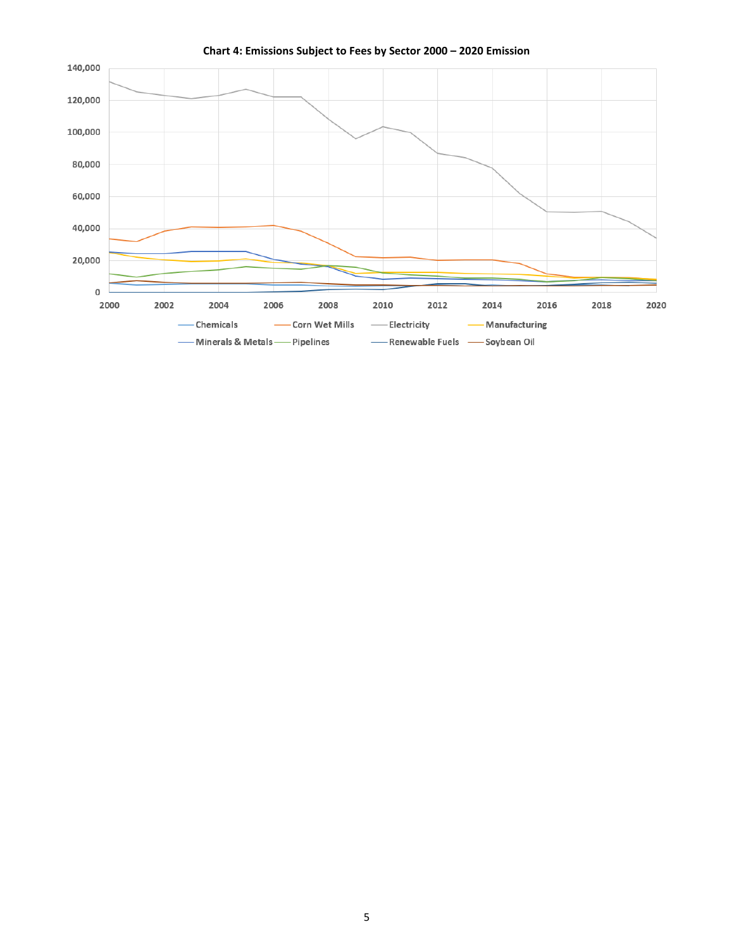

**Chart 4: Emissions Subject to Fees by Sector 2000 – 2020 Emission**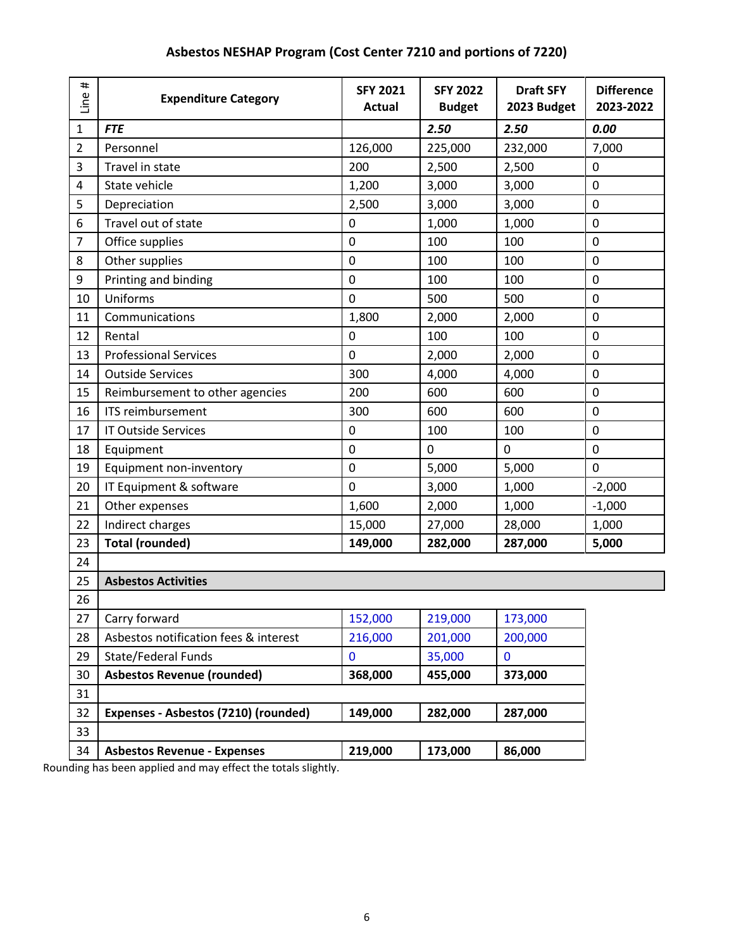| Line #         | <b>Expenditure Category</b>           | <b>SFY 2021</b><br><b>Actual</b> | <b>SFY 2022</b><br><b>Budget</b> | <b>Draft SFY</b><br>2023 Budget | <b>Difference</b><br>2023-2022 |
|----------------|---------------------------------------|----------------------------------|----------------------------------|---------------------------------|--------------------------------|
| $\mathbf{1}$   | <b>FTE</b>                            |                                  | 2.50                             | 2.50                            | 0.00                           |
| $\overline{2}$ | Personnel                             | 126,000                          | 225,000                          | 232,000                         | 7,000                          |
| 3              | Travel in state                       | 200                              | 2,500                            | 2,500                           | 0                              |
| 4              | State vehicle                         | 1,200                            | 3,000                            | 3,000                           | 0                              |
| 5              | Depreciation                          | 2,500                            | 3,000                            | 3,000                           | 0                              |
| 6              | Travel out of state                   | 0                                | 1,000                            | 1,000                           | 0                              |
| 7              | Office supplies                       | $\mathbf 0$                      | 100                              | 100                             | 0                              |
| 8              | Other supplies                        | $\mathbf 0$                      | 100                              | 100                             | 0                              |
| 9              | Printing and binding                  | 0                                | 100                              | 100                             | 0                              |
| 10             | Uniforms                              | $\mathbf 0$                      | 500                              | 500                             | 0                              |
| 11             | Communications                        | 1,800                            | 2,000                            | 2,000                           | 0                              |
| 12             | Rental                                | $\pmb{0}$                        | 100                              | 100                             | 0                              |
| 13             | <b>Professional Services</b>          | 0                                | 2,000                            | 2,000                           | 0                              |
| 14             | <b>Outside Services</b>               | 300                              | 4,000                            | 4,000                           | $\mathbf 0$                    |
| 15             | Reimbursement to other agencies       | 200                              | 600                              | 600                             | 0                              |
| 16             | <b>ITS reimbursement</b>              | 300                              | 600                              | 600                             | 0                              |
| 17             | <b>IT Outside Services</b>            | 0                                | 100                              | 100                             | 0                              |
| 18             | Equipment                             | 0                                | 0                                | $\mathbf 0$                     | 0                              |
| 19             | Equipment non-inventory               | $\pmb{0}$                        | 5,000                            | 5,000                           | 0                              |
| 20             | IT Equipment & software               | 0                                | 3,000                            | 1,000                           | $-2,000$                       |
| 21             | Other expenses                        | 1,600                            | 2,000                            | 1,000                           | $-1,000$                       |
| 22             | Indirect charges                      | 15,000                           | 27,000                           | 28,000                          | 1,000                          |
| 23             | <b>Total (rounded)</b>                | 149,000                          | 282,000                          | 287,000                         | 5,000                          |
| 24             |                                       |                                  |                                  |                                 |                                |
| 25             | <b>Asbestos Activities</b>            |                                  |                                  |                                 |                                |
| 26             |                                       |                                  |                                  |                                 |                                |
| 27             | Carry forward                         | 152,000                          | 219,000                          | 173,000                         |                                |
| 28             | Asbestos notification fees & interest | 216,000                          | 201,000                          | 200,000                         |                                |
| 29             | <b>State/Federal Funds</b>            | 0                                | 35,000                           | $\mathbf{0}$                    |                                |
| 30             | <b>Asbestos Revenue (rounded)</b>     | 368,000                          | 455,000                          | 373,000                         |                                |
| 31             |                                       |                                  |                                  |                                 |                                |
| 32             | Expenses - Asbestos (7210) (rounded)  | 149,000                          | 282,000                          | 287,000                         |                                |
| 33             |                                       |                                  |                                  |                                 |                                |
| 34             | <b>Asbestos Revenue - Expenses</b>    | 219,000                          | 173,000                          | 86,000                          |                                |

# **Asbestos NESHAP Program (Cost Center 7210 and portions of 7220)**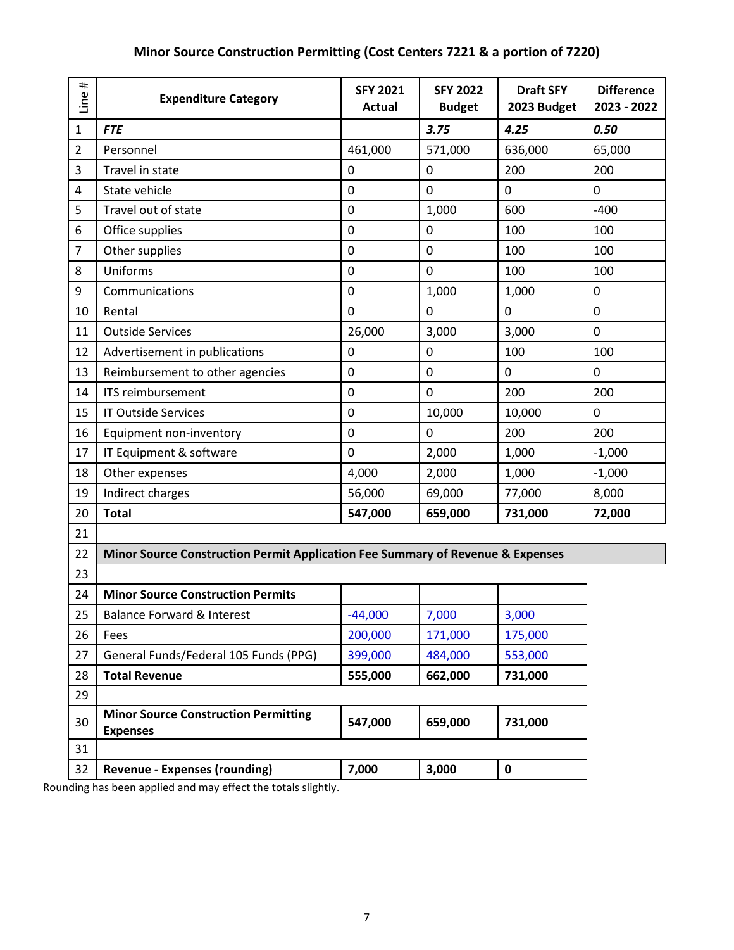| $\pmb{\mp}$<br>Line | <b>Expenditure Category</b>                                                    | <b>SFY 2021</b><br><b>Actual</b> | <b>SFY 2022</b><br><b>Budget</b> | <b>Draft SFY</b><br>2023 Budget | <b>Difference</b><br>2023 - 2022 |
|---------------------|--------------------------------------------------------------------------------|----------------------------------|----------------------------------|---------------------------------|----------------------------------|
| $\mathbf{1}$        | <b>FTE</b>                                                                     |                                  | 3.75                             | 4.25                            | 0.50                             |
| $\overline{2}$      | Personnel                                                                      | 461,000                          | 571,000                          | 636,000                         | 65,000                           |
| 3                   | Travel in state                                                                | 0                                | $\mathbf 0$                      | 200                             | 200                              |
| 4                   | State vehicle                                                                  | 0                                | $\mathbf 0$                      | $\mathbf 0$                     | 0                                |
| 5                   | Travel out of state                                                            | 0                                | 1,000                            | 600                             | $-400$                           |
| 6                   | Office supplies                                                                | 0                                | 0                                | 100                             | 100                              |
| $\overline{7}$      | Other supplies                                                                 | 0                                | 0                                | 100                             | 100                              |
| 8                   | Uniforms                                                                       | 0                                | $\mathbf 0$                      | 100                             | 100                              |
| 9                   | Communications                                                                 | 0                                | 1,000                            | 1,000                           | 0                                |
| 10                  | Rental                                                                         | 0                                | $\mathbf 0$                      | $\mathbf 0$                     | $\mathbf 0$                      |
| 11                  | <b>Outside Services</b>                                                        | 26,000                           | 3,000                            | 3,000                           | $\mathbf 0$                      |
| 12                  | Advertisement in publications                                                  | 0                                | $\mathbf 0$                      | 100                             | 100                              |
| 13                  | Reimbursement to other agencies                                                | 0                                | $\mathbf 0$                      | $\mathbf 0$                     | $\mathbf 0$                      |
| 14                  | <b>ITS reimbursement</b>                                                       | 0                                | $\mathbf 0$                      | 200                             | 200                              |
| 15                  | <b>IT Outside Services</b>                                                     | 0                                | 10,000                           | 10,000                          | $\mathbf 0$                      |
| 16                  | Equipment non-inventory                                                        | 0                                | $\mathbf 0$                      | 200                             | 200                              |
| 17                  | IT Equipment & software                                                        | 0                                | 2,000                            | 1,000                           | $-1,000$                         |
| 18                  | Other expenses                                                                 | 4,000                            | 2,000                            | 1,000                           | $-1,000$                         |
| 19                  | Indirect charges                                                               | 56,000                           | 69,000                           | 77,000                          | 8,000                            |
| 20                  | <b>Total</b>                                                                   | 547,000                          | 659,000                          | 731,000                         | 72,000                           |
| 21                  |                                                                                |                                  |                                  |                                 |                                  |
| 22                  | Minor Source Construction Permit Application Fee Summary of Revenue & Expenses |                                  |                                  |                                 |                                  |
| 23                  |                                                                                |                                  |                                  |                                 |                                  |
| 24                  | <b>Minor Source Construction Permits</b>                                       |                                  |                                  |                                 |                                  |
| 25                  | <b>Balance Forward &amp; Interest</b>                                          | $-44,000$                        | 7,000                            | 3,000                           |                                  |
| 26                  | Fees                                                                           | 200,000                          | 171,000                          | 175,000                         |                                  |
| 27                  | General Funds/Federal 105 Funds (PPG)                                          | 399,000                          | 484,000                          | 553,000                         |                                  |
| 28                  | <b>Total Revenue</b>                                                           | 555,000                          | 662,000                          | 731,000                         |                                  |
| 29                  |                                                                                |                                  |                                  |                                 |                                  |
| 30                  | <b>Minor Source Construction Permitting</b><br><b>Expenses</b>                 | 547,000                          | 659,000                          | 731,000                         |                                  |
| 31                  |                                                                                |                                  |                                  |                                 |                                  |
| 32                  | <b>Revenue - Expenses (rounding)</b>                                           | 7,000                            | 3,000                            | $\mathbf 0$                     |                                  |

## **Minor Source Construction Permitting (Cost Centers 7221 & a portion of 7220)**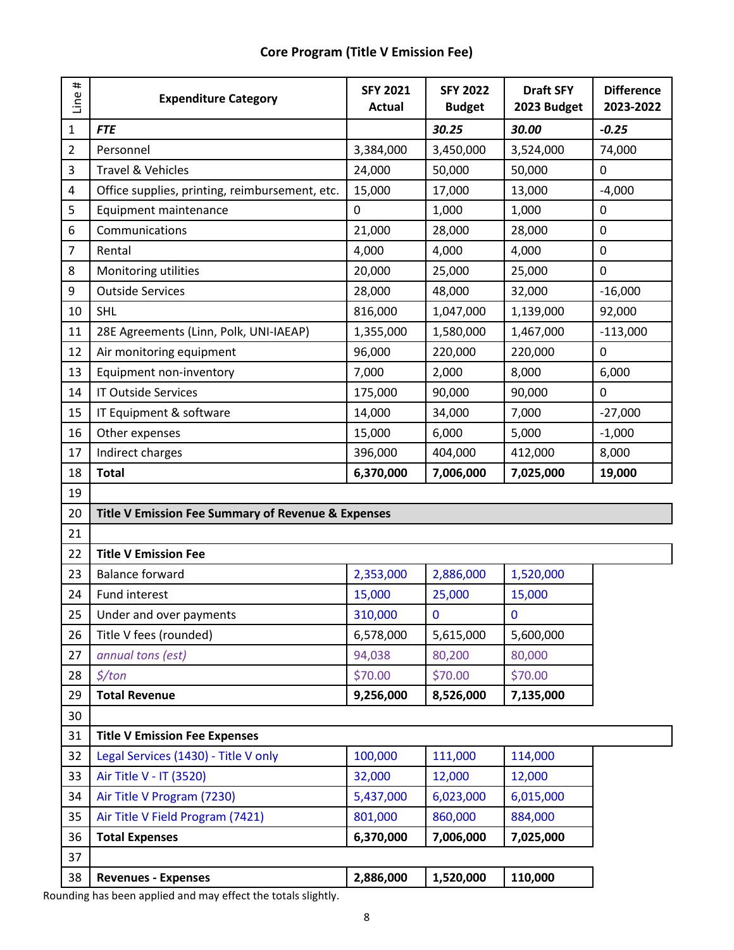| <b>Core Program (Title V Emission Fee)</b> |  |  |  |
|--------------------------------------------|--|--|--|
|--------------------------------------------|--|--|--|

| #<br>Line | <b>Expenditure Category</b>                        | <b>SFY 2021</b><br><b>Actual</b> | <b>SFY 2022</b><br><b>Budget</b> | <b>Draft SFY</b><br>2023 Budget | <b>Difference</b><br>2023-2022 |
|-----------|----------------------------------------------------|----------------------------------|----------------------------------|---------------------------------|--------------------------------|
| 1         | <b>FTE</b>                                         |                                  | 30.25                            | 30.00                           | $-0.25$                        |
| 2         | Personnel                                          | 3,384,000                        | 3,450,000                        | 3,524,000                       | 74,000                         |
| 3         | Travel & Vehicles                                  | 24,000                           | 50,000                           | 50,000                          | 0                              |
| 4         | Office supplies, printing, reimbursement, etc.     | 15,000                           | 17,000                           | 13,000                          | $-4,000$                       |
| 5         | Equipment maintenance                              | $\mathbf 0$                      | 1,000                            | 1,000                           | 0                              |
| 6         | Communications                                     | 21,000                           | 28,000                           | 28,000                          | $\pmb{0}$                      |
| 7         | Rental                                             | 4,000                            | 4,000                            | 4,000                           | $\mathbf 0$                    |
| 8         | Monitoring utilities                               | 20,000                           | 25,000                           | 25,000                          | 0                              |
| 9         | <b>Outside Services</b>                            | 28,000                           | 48,000                           | 32,000                          | $-16,000$                      |
| 10        | <b>SHL</b>                                         | 816,000                          | 1,047,000                        | 1,139,000                       | 92,000                         |
| 11        | 28E Agreements (Linn, Polk, UNI-IAEAP)             | 1,355,000                        | 1,580,000                        | 1,467,000                       | $-113,000$                     |
| 12        | Air monitoring equipment                           | 96,000                           | 220,000                          | 220,000                         | $\mathbf 0$                    |
| 13        | Equipment non-inventory                            | 7,000                            | 2,000                            | 8,000                           | 6,000                          |
| 14        | <b>IT Outside Services</b>                         | 175,000                          | 90,000                           | 90,000                          | $\mathbf 0$                    |
| 15        | IT Equipment & software                            | 14,000                           | 34,000                           | 7,000                           | $-27,000$                      |
| 16        | Other expenses                                     | 15,000                           | 6,000                            | 5,000                           | $-1,000$                       |
| 17        | Indirect charges                                   | 396,000                          | 404,000                          | 412,000                         | 8,000                          |
| 18        | <b>Total</b>                                       | 6,370,000                        | 7,006,000                        | 7,025,000                       | 19,000                         |
| 19        |                                                    |                                  |                                  |                                 |                                |
| 20        | Title V Emission Fee Summary of Revenue & Expenses |                                  |                                  |                                 |                                |
| 21        |                                                    |                                  |                                  |                                 |                                |
| 22        | <b>Title V Emission Fee</b>                        |                                  |                                  |                                 |                                |
| 23        | <b>Balance forward</b>                             | 2,353,000                        | 2,886,000                        | 1,520,000                       |                                |
| 24        | Fund interest                                      | 15,000                           | 25,000                           | 15,000                          |                                |
| 25        | Under and over payments                            | 310,000                          | 0                                | $\mathbf 0$                     |                                |
| 26        | Title V fees (rounded)                             | 6,578,000                        | 5,615,000                        | 5,600,000                       |                                |
| 27        | annual tons (est)                                  | 94,038                           | 80,200                           | 80,000                          |                                |
| 28        | $\frac{1}{2}$ /ton                                 | \$70.00                          | \$70.00                          | \$70.00                         |                                |
| 29        | <b>Total Revenue</b>                               | 9,256,000                        | 8,526,000                        | 7,135,000                       |                                |
| 30        |                                                    |                                  |                                  |                                 |                                |
| 31        | <b>Title V Emission Fee Expenses</b>               |                                  |                                  |                                 |                                |
| 32        | Legal Services (1430) - Title V only               | 100,000                          | 111,000                          | 114,000                         |                                |
| 33        | Air Title V - IT (3520)                            | 32,000                           | 12,000                           | 12,000                          |                                |
| 34        | Air Title V Program (7230)                         | 5,437,000                        | 6,023,000                        | 6,015,000                       |                                |
| 35        | Air Title V Field Program (7421)                   | 801,000                          | 860,000                          | 884,000                         |                                |
| 36        | <b>Total Expenses</b>                              | 6,370,000                        | 7,006,000                        | 7,025,000                       |                                |
| 37        |                                                    |                                  |                                  |                                 |                                |
| 38        | <b>Revenues - Expenses</b>                         | 2,886,000                        | 1,520,000                        | 110,000                         |                                |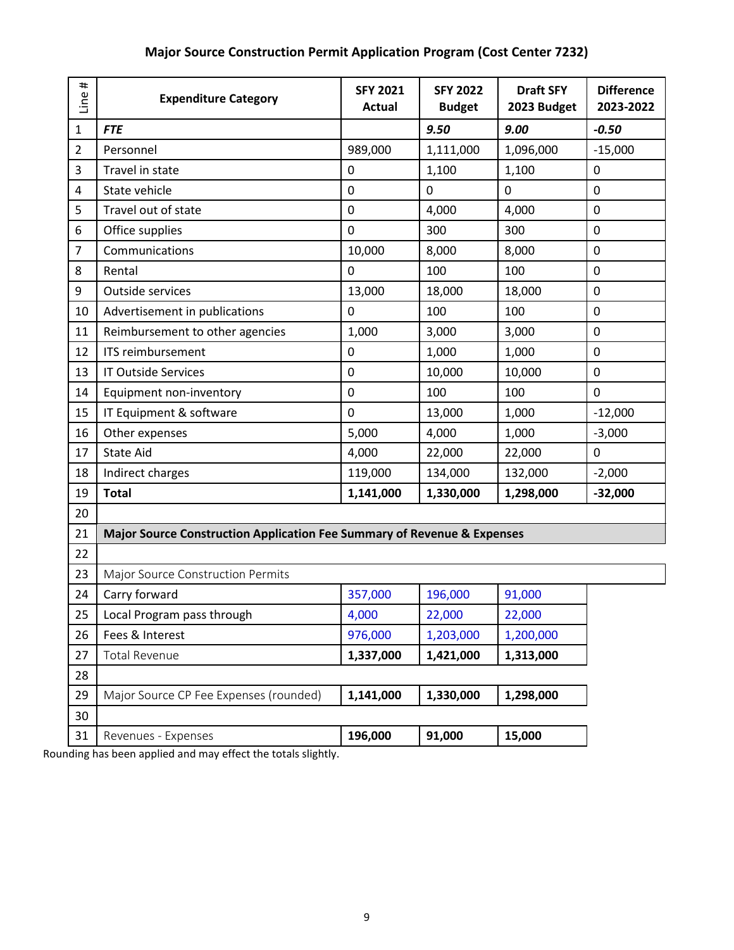| #<br>$\dot{\mathbf{Q}}$<br>ءَ | <b>Expenditure Category</b>                                             | <b>SFY 2021</b><br><b>Actual</b> | <b>SFY 2022</b><br><b>Budget</b> | <b>Draft SFY</b><br>2023 Budget | <b>Difference</b><br>2023-2022 |
|-------------------------------|-------------------------------------------------------------------------|----------------------------------|----------------------------------|---------------------------------|--------------------------------|
| 1                             | <b>FTE</b>                                                              |                                  | 9.50                             | 9.00                            | $-0.50$                        |
| $\overline{2}$                | Personnel                                                               | 989,000                          | 1,111,000                        | 1,096,000                       | $-15,000$                      |
| 3                             | Travel in state                                                         | 0                                | 1,100                            | 1,100                           | $\pmb{0}$                      |
| 4                             | State vehicle                                                           | 0                                | $\mathbf 0$                      | 0                               | $\mathbf 0$                    |
| 5                             | Travel out of state                                                     | 0                                | 4,000                            | 4,000                           | 0                              |
| 6                             | Office supplies                                                         | 0                                | 300                              | 300                             | 0                              |
| $\overline{7}$                | Communications                                                          | 10,000                           | 8,000                            | 8,000                           | $\mathbf 0$                    |
| 8                             | Rental                                                                  | 0                                | 100                              | 100                             | $\pmb{0}$                      |
| 9                             | <b>Outside services</b>                                                 | 13,000                           | 18,000                           | 18,000                          | $\pmb{0}$                      |
| 10                            | Advertisement in publications                                           | 0                                | 100                              | 100                             | 0                              |
| 11                            | Reimbursement to other agencies                                         | 1,000                            | 3,000                            | 3,000                           | 0                              |
| 12                            | <b>ITS reimbursement</b>                                                | 0                                | 1,000                            | 1,000                           | $\mathbf 0$                    |
| 13                            | <b>IT Outside Services</b>                                              | 0                                | 10,000                           | 10,000                          | $\mathbf 0$                    |
| 14                            | Equipment non-inventory                                                 | 0                                | 100                              | 100                             | $\mathbf 0$                    |
| 15                            | IT Equipment & software                                                 | 0                                | 13,000                           | 1,000                           | $-12,000$                      |
| 16                            | Other expenses                                                          | 5,000                            | 4,000                            | 1,000                           | $-3,000$                       |
| 17                            | <b>State Aid</b>                                                        | 4,000                            | 22,000                           | 22,000                          | $\mathbf 0$                    |
| 18                            | Indirect charges                                                        | 119,000                          | 134,000                          | 132,000                         | $-2,000$                       |
| 19                            | <b>Total</b>                                                            | 1,141,000                        | 1,330,000                        | 1,298,000                       | $-32,000$                      |
| 20                            |                                                                         |                                  |                                  |                                 |                                |
| 21                            | Major Source Construction Application Fee Summary of Revenue & Expenses |                                  |                                  |                                 |                                |
| 22                            |                                                                         |                                  |                                  |                                 |                                |
| 23                            | Major Source Construction Permits                                       |                                  |                                  |                                 |                                |
| 24                            | Carry forward                                                           | 357,000                          | 196,000                          | 91,000                          |                                |
| 25                            | Local Program pass through                                              | 4,000                            | 22,000                           | 22,000                          |                                |
| 26                            | Fees & Interest                                                         | 976,000                          | 1,203,000                        | 1,200,000                       |                                |
| 27                            | <b>Total Revenue</b>                                                    | 1,337,000                        | 1,421,000                        | 1,313,000                       |                                |
| 28                            |                                                                         |                                  |                                  |                                 |                                |
| 29                            | Major Source CP Fee Expenses (rounded)                                  | 1,141,000                        | 1,330,000                        | 1,298,000                       |                                |
| 30                            |                                                                         |                                  |                                  |                                 |                                |
| 31                            | Revenues - Expenses                                                     | 196,000                          | 91,000                           | 15,000                          |                                |

# **Major Source Construction Permit Application Program (Cost Center 7232)**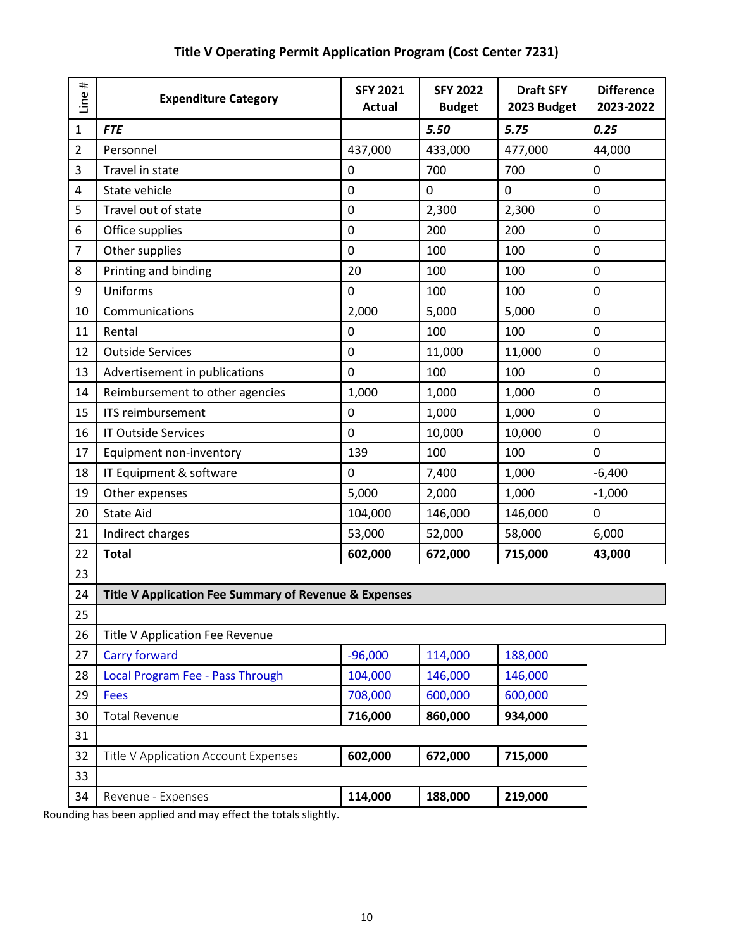| <b>FTE</b><br>5.50<br>5.75<br>0.25<br>$\mathbf{1}$<br>$\overline{2}$<br>433,000<br>477,000<br>Personnel<br>437,000<br>44,000<br>3<br>Travel in state<br>0<br>700<br>700<br>0<br>0<br>4<br>State vehicle<br>0<br>0<br>0<br>5<br>0<br>2,300<br>0<br>Travel out of state<br>2,300<br>200<br>0<br>6<br>Office supplies<br>0<br>200<br>Other supplies<br>$\overline{7}$<br>0<br>100<br>100<br>0<br>8<br>Printing and binding<br>20<br>100<br>100<br>0<br>Uniforms<br>9<br>0<br>100<br>100<br>0<br>2,000<br>5,000<br>5,000<br>0<br>10<br>Communications<br>100<br>0<br>11<br>Rental<br>0<br>100<br>0<br>11,000<br>0<br>12<br><b>Outside Services</b><br>11,000<br>13<br>100<br>100<br>Advertisement in publications<br>0<br>0<br>1,000<br>Reimbursement to other agencies<br>1,000<br>1,000<br>0<br>14<br>15<br>ITS reimbursement<br>0<br>0<br>1,000<br>1,000<br>10,000<br>0<br>16<br><b>IT Outside Services</b><br>0<br>10,000<br>139<br>0<br>100<br>100<br>17<br>Equipment non-inventory<br>18<br>IT Equipment & software<br>0<br>7,400<br>1,000<br>$-6,400$<br>5,000<br>19<br>Other expenses<br>1,000<br>$-1,000$<br>2,000<br><b>State Aid</b><br>20<br>146,000<br>0<br>104,000<br>146,000<br>53,000<br>21<br>52,000<br>58,000<br>6,000<br>Indirect charges<br>22<br><b>Total</b><br>602,000<br>715,000<br>43,000<br>672,000<br>23<br>Title V Application Fee Summary of Revenue & Expenses<br>24<br>25<br>26<br>Title V Application Fee Revenue<br>114,000<br>188,000<br><b>Carry forward</b><br>$-96,000$<br>27<br>Local Program Fee - Pass Through<br>146,000<br>146,000<br>28<br>104,000<br>29<br><b>Fees</b><br>708,000<br>600,000<br>600,000<br><b>Total Revenue</b><br>934,000<br>716,000<br>860,000<br>30<br>31<br>715,000<br>602,000<br>672,000<br>32<br>Title V Application Account Expenses<br>33<br>114,000<br>188,000<br>219,000<br>34<br>Revenue - Expenses | #<br>Line | <b>Expenditure Category</b> | <b>SFY 2021</b><br><b>Actual</b> | <b>SFY 2022</b><br><b>Budget</b> | <b>Draft SFY</b><br>2023 Budget | <b>Difference</b><br>2023-2022 |
|------------------------------------------------------------------------------------------------------------------------------------------------------------------------------------------------------------------------------------------------------------------------------------------------------------------------------------------------------------------------------------------------------------------------------------------------------------------------------------------------------------------------------------------------------------------------------------------------------------------------------------------------------------------------------------------------------------------------------------------------------------------------------------------------------------------------------------------------------------------------------------------------------------------------------------------------------------------------------------------------------------------------------------------------------------------------------------------------------------------------------------------------------------------------------------------------------------------------------------------------------------------------------------------------------------------------------------------------------------------------------------------------------------------------------------------------------------------------------------------------------------------------------------------------------------------------------------------------------------------------------------------------------------------------------------------------------------------------------------------------------------------------------------------------------------------------------------------------------------------------|-----------|-----------------------------|----------------------------------|----------------------------------|---------------------------------|--------------------------------|
|                                                                                                                                                                                                                                                                                                                                                                                                                                                                                                                                                                                                                                                                                                                                                                                                                                                                                                                                                                                                                                                                                                                                                                                                                                                                                                                                                                                                                                                                                                                                                                                                                                                                                                                                                                                                                                                                        |           |                             |                                  |                                  |                                 |                                |
|                                                                                                                                                                                                                                                                                                                                                                                                                                                                                                                                                                                                                                                                                                                                                                                                                                                                                                                                                                                                                                                                                                                                                                                                                                                                                                                                                                                                                                                                                                                                                                                                                                                                                                                                                                                                                                                                        |           |                             |                                  |                                  |                                 |                                |
|                                                                                                                                                                                                                                                                                                                                                                                                                                                                                                                                                                                                                                                                                                                                                                                                                                                                                                                                                                                                                                                                                                                                                                                                                                                                                                                                                                                                                                                                                                                                                                                                                                                                                                                                                                                                                                                                        |           |                             |                                  |                                  |                                 |                                |
|                                                                                                                                                                                                                                                                                                                                                                                                                                                                                                                                                                                                                                                                                                                                                                                                                                                                                                                                                                                                                                                                                                                                                                                                                                                                                                                                                                                                                                                                                                                                                                                                                                                                                                                                                                                                                                                                        |           |                             |                                  |                                  |                                 |                                |
|                                                                                                                                                                                                                                                                                                                                                                                                                                                                                                                                                                                                                                                                                                                                                                                                                                                                                                                                                                                                                                                                                                                                                                                                                                                                                                                                                                                                                                                                                                                                                                                                                                                                                                                                                                                                                                                                        |           |                             |                                  |                                  |                                 |                                |
|                                                                                                                                                                                                                                                                                                                                                                                                                                                                                                                                                                                                                                                                                                                                                                                                                                                                                                                                                                                                                                                                                                                                                                                                                                                                                                                                                                                                                                                                                                                                                                                                                                                                                                                                                                                                                                                                        |           |                             |                                  |                                  |                                 |                                |
|                                                                                                                                                                                                                                                                                                                                                                                                                                                                                                                                                                                                                                                                                                                                                                                                                                                                                                                                                                                                                                                                                                                                                                                                                                                                                                                                                                                                                                                                                                                                                                                                                                                                                                                                                                                                                                                                        |           |                             |                                  |                                  |                                 |                                |
|                                                                                                                                                                                                                                                                                                                                                                                                                                                                                                                                                                                                                                                                                                                                                                                                                                                                                                                                                                                                                                                                                                                                                                                                                                                                                                                                                                                                                                                                                                                                                                                                                                                                                                                                                                                                                                                                        |           |                             |                                  |                                  |                                 |                                |
|                                                                                                                                                                                                                                                                                                                                                                                                                                                                                                                                                                                                                                                                                                                                                                                                                                                                                                                                                                                                                                                                                                                                                                                                                                                                                                                                                                                                                                                                                                                                                                                                                                                                                                                                                                                                                                                                        |           |                             |                                  |                                  |                                 |                                |
|                                                                                                                                                                                                                                                                                                                                                                                                                                                                                                                                                                                                                                                                                                                                                                                                                                                                                                                                                                                                                                                                                                                                                                                                                                                                                                                                                                                                                                                                                                                                                                                                                                                                                                                                                                                                                                                                        |           |                             |                                  |                                  |                                 |                                |
|                                                                                                                                                                                                                                                                                                                                                                                                                                                                                                                                                                                                                                                                                                                                                                                                                                                                                                                                                                                                                                                                                                                                                                                                                                                                                                                                                                                                                                                                                                                                                                                                                                                                                                                                                                                                                                                                        |           |                             |                                  |                                  |                                 |                                |
|                                                                                                                                                                                                                                                                                                                                                                                                                                                                                                                                                                                                                                                                                                                                                                                                                                                                                                                                                                                                                                                                                                                                                                                                                                                                                                                                                                                                                                                                                                                                                                                                                                                                                                                                                                                                                                                                        |           |                             |                                  |                                  |                                 |                                |
|                                                                                                                                                                                                                                                                                                                                                                                                                                                                                                                                                                                                                                                                                                                                                                                                                                                                                                                                                                                                                                                                                                                                                                                                                                                                                                                                                                                                                                                                                                                                                                                                                                                                                                                                                                                                                                                                        |           |                             |                                  |                                  |                                 |                                |
|                                                                                                                                                                                                                                                                                                                                                                                                                                                                                                                                                                                                                                                                                                                                                                                                                                                                                                                                                                                                                                                                                                                                                                                                                                                                                                                                                                                                                                                                                                                                                                                                                                                                                                                                                                                                                                                                        |           |                             |                                  |                                  |                                 |                                |
|                                                                                                                                                                                                                                                                                                                                                                                                                                                                                                                                                                                                                                                                                                                                                                                                                                                                                                                                                                                                                                                                                                                                                                                                                                                                                                                                                                                                                                                                                                                                                                                                                                                                                                                                                                                                                                                                        |           |                             |                                  |                                  |                                 |                                |
|                                                                                                                                                                                                                                                                                                                                                                                                                                                                                                                                                                                                                                                                                                                                                                                                                                                                                                                                                                                                                                                                                                                                                                                                                                                                                                                                                                                                                                                                                                                                                                                                                                                                                                                                                                                                                                                                        |           |                             |                                  |                                  |                                 |                                |
|                                                                                                                                                                                                                                                                                                                                                                                                                                                                                                                                                                                                                                                                                                                                                                                                                                                                                                                                                                                                                                                                                                                                                                                                                                                                                                                                                                                                                                                                                                                                                                                                                                                                                                                                                                                                                                                                        |           |                             |                                  |                                  |                                 |                                |
|                                                                                                                                                                                                                                                                                                                                                                                                                                                                                                                                                                                                                                                                                                                                                                                                                                                                                                                                                                                                                                                                                                                                                                                                                                                                                                                                                                                                                                                                                                                                                                                                                                                                                                                                                                                                                                                                        |           |                             |                                  |                                  |                                 |                                |
|                                                                                                                                                                                                                                                                                                                                                                                                                                                                                                                                                                                                                                                                                                                                                                                                                                                                                                                                                                                                                                                                                                                                                                                                                                                                                                                                                                                                                                                                                                                                                                                                                                                                                                                                                                                                                                                                        |           |                             |                                  |                                  |                                 |                                |
|                                                                                                                                                                                                                                                                                                                                                                                                                                                                                                                                                                                                                                                                                                                                                                                                                                                                                                                                                                                                                                                                                                                                                                                                                                                                                                                                                                                                                                                                                                                                                                                                                                                                                                                                                                                                                                                                        |           |                             |                                  |                                  |                                 |                                |
|                                                                                                                                                                                                                                                                                                                                                                                                                                                                                                                                                                                                                                                                                                                                                                                                                                                                                                                                                                                                                                                                                                                                                                                                                                                                                                                                                                                                                                                                                                                                                                                                                                                                                                                                                                                                                                                                        |           |                             |                                  |                                  |                                 |                                |
|                                                                                                                                                                                                                                                                                                                                                                                                                                                                                                                                                                                                                                                                                                                                                                                                                                                                                                                                                                                                                                                                                                                                                                                                                                                                                                                                                                                                                                                                                                                                                                                                                                                                                                                                                                                                                                                                        |           |                             |                                  |                                  |                                 |                                |
|                                                                                                                                                                                                                                                                                                                                                                                                                                                                                                                                                                                                                                                                                                                                                                                                                                                                                                                                                                                                                                                                                                                                                                                                                                                                                                                                                                                                                                                                                                                                                                                                                                                                                                                                                                                                                                                                        |           |                             |                                  |                                  |                                 |                                |
|                                                                                                                                                                                                                                                                                                                                                                                                                                                                                                                                                                                                                                                                                                                                                                                                                                                                                                                                                                                                                                                                                                                                                                                                                                                                                                                                                                                                                                                                                                                                                                                                                                                                                                                                                                                                                                                                        |           |                             |                                  |                                  |                                 |                                |
|                                                                                                                                                                                                                                                                                                                                                                                                                                                                                                                                                                                                                                                                                                                                                                                                                                                                                                                                                                                                                                                                                                                                                                                                                                                                                                                                                                                                                                                                                                                                                                                                                                                                                                                                                                                                                                                                        |           |                             |                                  |                                  |                                 |                                |
|                                                                                                                                                                                                                                                                                                                                                                                                                                                                                                                                                                                                                                                                                                                                                                                                                                                                                                                                                                                                                                                                                                                                                                                                                                                                                                                                                                                                                                                                                                                                                                                                                                                                                                                                                                                                                                                                        |           |                             |                                  |                                  |                                 |                                |
|                                                                                                                                                                                                                                                                                                                                                                                                                                                                                                                                                                                                                                                                                                                                                                                                                                                                                                                                                                                                                                                                                                                                                                                                                                                                                                                                                                                                                                                                                                                                                                                                                                                                                                                                                                                                                                                                        |           |                             |                                  |                                  |                                 |                                |
|                                                                                                                                                                                                                                                                                                                                                                                                                                                                                                                                                                                                                                                                                                                                                                                                                                                                                                                                                                                                                                                                                                                                                                                                                                                                                                                                                                                                                                                                                                                                                                                                                                                                                                                                                                                                                                                                        |           |                             |                                  |                                  |                                 |                                |
|                                                                                                                                                                                                                                                                                                                                                                                                                                                                                                                                                                                                                                                                                                                                                                                                                                                                                                                                                                                                                                                                                                                                                                                                                                                                                                                                                                                                                                                                                                                                                                                                                                                                                                                                                                                                                                                                        |           |                             |                                  |                                  |                                 |                                |
|                                                                                                                                                                                                                                                                                                                                                                                                                                                                                                                                                                                                                                                                                                                                                                                                                                                                                                                                                                                                                                                                                                                                                                                                                                                                                                                                                                                                                                                                                                                                                                                                                                                                                                                                                                                                                                                                        |           |                             |                                  |                                  |                                 |                                |
|                                                                                                                                                                                                                                                                                                                                                                                                                                                                                                                                                                                                                                                                                                                                                                                                                                                                                                                                                                                                                                                                                                                                                                                                                                                                                                                                                                                                                                                                                                                                                                                                                                                                                                                                                                                                                                                                        |           |                             |                                  |                                  |                                 |                                |
|                                                                                                                                                                                                                                                                                                                                                                                                                                                                                                                                                                                                                                                                                                                                                                                                                                                                                                                                                                                                                                                                                                                                                                                                                                                                                                                                                                                                                                                                                                                                                                                                                                                                                                                                                                                                                                                                        |           |                             |                                  |                                  |                                 |                                |
|                                                                                                                                                                                                                                                                                                                                                                                                                                                                                                                                                                                                                                                                                                                                                                                                                                                                                                                                                                                                                                                                                                                                                                                                                                                                                                                                                                                                                                                                                                                                                                                                                                                                                                                                                                                                                                                                        |           |                             |                                  |                                  |                                 |                                |
|                                                                                                                                                                                                                                                                                                                                                                                                                                                                                                                                                                                                                                                                                                                                                                                                                                                                                                                                                                                                                                                                                                                                                                                                                                                                                                                                                                                                                                                                                                                                                                                                                                                                                                                                                                                                                                                                        |           |                             |                                  |                                  |                                 |                                |

# **Title V Operating Permit Application Program (Cost Center 7231)**